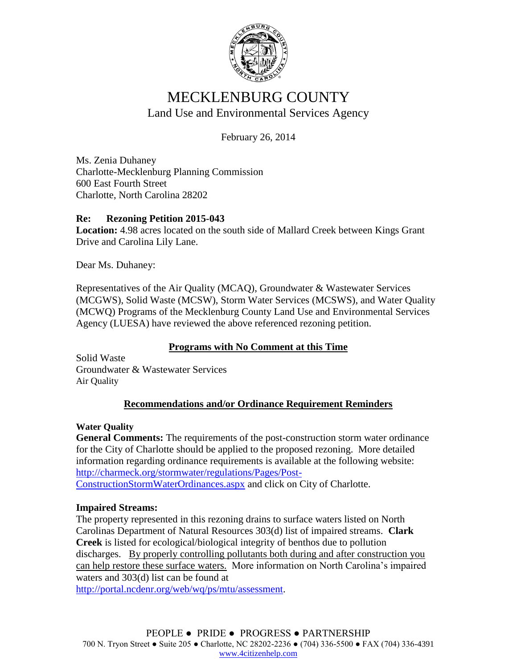

# MECKLENBURG COUNTY Land Use and Environmental Services Agency

February 26, 2014

Ms. Zenia Duhaney Charlotte-Mecklenburg Planning Commission 600 East Fourth Street Charlotte, North Carolina 28202

# **Re: Rezoning Petition 2015-043**

**Location:** 4.98 acres located on the south side of Mallard Creek between Kings Grant Drive and Carolina Lily Lane.

Dear Ms. Duhaney:

Representatives of the Air Quality (MCAQ), Groundwater & Wastewater Services (MCGWS), Solid Waste (MCSW), Storm Water Services (MCSWS), and Water Quality (MCWQ) Programs of the Mecklenburg County Land Use and Environmental Services Agency (LUESA) have reviewed the above referenced rezoning petition.

# **Programs with No Comment at this Time**

Solid Waste Groundwater & Wastewater Services Air Quality

# **Recommendations and/or Ordinance Requirement Reminders**

### **Water Quality**

**General Comments:** The requirements of the post-construction storm water ordinance for the City of Charlotte should be applied to the proposed rezoning. More detailed information regarding ordinance requirements is available at the following website: [http://charmeck.org/stormwater/regulations/Pages/Post-](http://charmeck.org/stormwater/regulations/Pages/Post-ConstructionStormWaterOrdinances.aspx)[ConstructionStormWaterOrdinances.aspx](http://charmeck.org/stormwater/regulations/Pages/Post-ConstructionStormWaterOrdinances.aspx) and click on City of Charlotte.

### **Impaired Streams:**

The property represented in this rezoning drains to surface waters listed on North Carolinas Department of Natural Resources 303(d) list of impaired streams. **Clark Creek** is listed for ecological/biological integrity of benthos due to pollution discharges. By properly controlling pollutants both during and after construction you can help restore these surface waters. More information on North Carolina's impaired waters and 303(d) list can be found at

[http://portal.ncdenr.org/web/wq/ps/mtu/assessment.](http://portal.ncdenr.org/web/wq/ps/mtu/assessment)